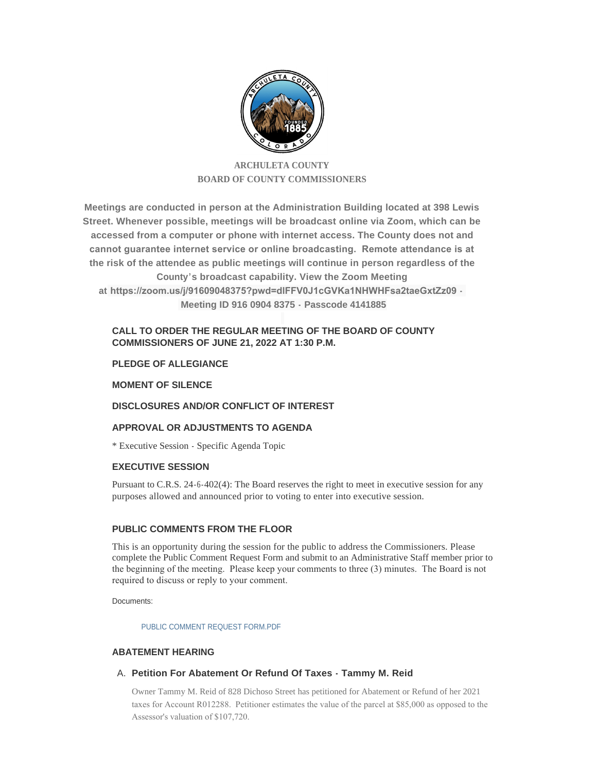

# **ARCHULETA COUNTY BOARD OF COUNTY COMMISSIONERS**

**Meetings are conducted in person at the Administration Building located at 398 Lewis Street. Whenever possible, meetings will be broadcast online via Zoom, which can be accessed from a computer or phone with internet access. The County does not and cannot guarantee internet service or online broadcasting. Remote attendance is at the risk of the attendee as public meetings will continue in person regardless of the County's broadcast capability. View the Zoom Meeting at https://zoom.us/j/91609048375?pwd=dlFFV0J1cGVKa1NHWHFsa2taeGxtZz09 - Meeting ID 916 0904 8375 - Passcode 4141885**

# **CALL TO ORDER THE REGULAR MEETING OF THE BOARD OF COUNTY COMMISSIONERS OF JUNE 21, 2022 AT 1:30 P.M.**

# **PLEDGE OF ALLEGIANCE**

# **MOMENT OF SILENCE**

# **DISCLOSURES AND/OR CONFLICT OF INTEREST**

# **APPROVAL OR ADJUSTMENTS TO AGENDA**

\* Executive Session - Specific Agenda Topic

# **EXECUTIVE SESSION**

Pursuant to C.R.S. 24-6-402(4): The Board reserves the right to meet in executive session for any purposes allowed and announced prior to voting to enter into executive session.

# **PUBLIC COMMENTS FROM THE FLOOR**

This is an opportunity during the session for the public to address the Commissioners. Please complete the Public Comment Request Form and submit to an Administrative Staff member prior to the beginning of the meeting. Please keep your comments to three (3) minutes. The Board is not required to discuss or reply to your comment.

Documents:

PUBLIC COMMENT REQUEST FORM PDF

# **ABATEMENT HEARING**

# **Petition For Abatement Or Refund Of Taxes - Tammy M. Reid** A.

Owner Tammy M. Reid of 828 Dichoso Street has petitioned for Abatement or Refund of her 2021 taxes for Account R012288. Petitioner estimates the value of the parcel at \$85,000 as opposed to the Assessor's valuation of \$107,720.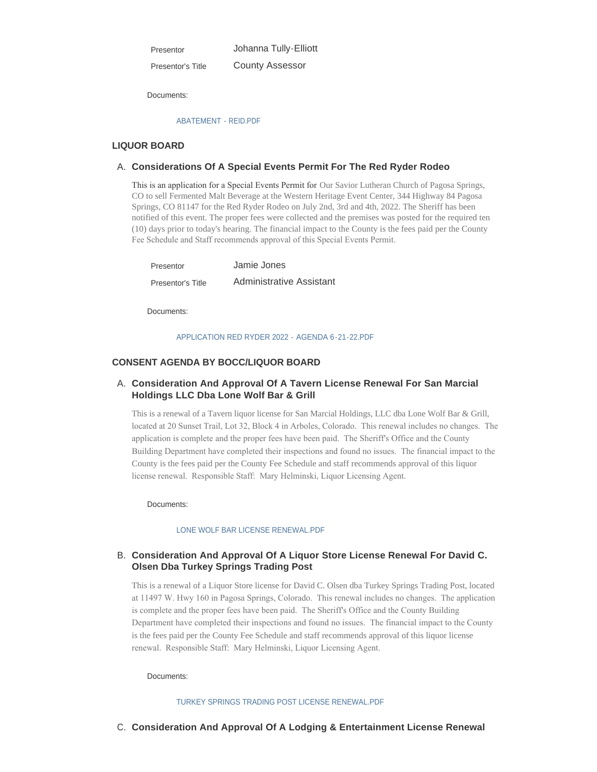Presentor

Johanna Tully-Elliott

County Assessor Presentor's Title

Documents:

## [ABATEMENT - REID.PDF](http://www.archuletacounty.org/AgendaCenter/ViewFile/Item/10661?fileID=8316)

## **LIQUOR BOARD**

## **Considerations Of A Special Events Permit For The Red Ryder Rodeo** A.

This is an application for a Special Events Permit for Our Savior Lutheran Church of Pagosa Springs, CO to sell Fermented Malt Beverage at the Western Heritage Event Center, 344 Highway 84 Pagosa Springs, CO 81147 for the Red Ryder Rodeo on July 2nd, 3rd and 4th, 2022. The Sheriff has been notified of this event. The proper fees were collected and the premises was posted for the required ten (10) days prior to today's hearing. The financial impact to the County is the fees paid per the County Fee Schedule and Staff recommends approval of this Special Events Permit.

| Presentor         | Jamie Jones                     |
|-------------------|---------------------------------|
| Presentor's Title | <b>Administrative Assistant</b> |

Documents:

#### [APPLICATION RED RYDER 2022 - AGENDA 6-21-22.PDF](http://www.archuletacounty.org/AgendaCenter/ViewFile/Item/10660?fileID=8315)

## **CONSENT AGENDA BY BOCC/LIQUOR BOARD**

# **Consideration And Approval Of A Tavern License Renewal For San Marcial**  A. **Holdings LLC Dba Lone Wolf Bar & Grill**

This is a renewal of a Tavern liquor license for San Marcial Holdings, LLC dba Lone Wolf Bar & Grill, located at 20 Sunset Trail, Lot 32, Block 4 in Arboles, Colorado. This renewal includes no changes. The application is complete and the proper fees have been paid. The Sheriff's Office and the County Building Department have completed their inspections and found no issues. The financial impact to the County is the fees paid per the County Fee Schedule and staff recommends approval of this liquor license renewal. Responsible Staff: Mary Helminski, Liquor Licensing Agent.

Documents:

#### [LONE WOLF BAR LICENSE RENEWAL.PDF](http://www.archuletacounty.org/AgendaCenter/ViewFile/Item/10668?fileID=8331)

# **Consideration And Approval Of A Liquor Store License Renewal For David C.**  B. **Olsen Dba Turkey Springs Trading Post**

This is a renewal of a Liquor Store license for David C. Olsen dba Turkey Springs Trading Post, located at 11497 W. Hwy 160 in Pagosa Springs, Colorado. This renewal includes no changes. The application is complete and the proper fees have been paid. The Sheriff's Office and the County Building Department have completed their inspections and found no issues. The financial impact to the County is the fees paid per the County Fee Schedule and staff recommends approval of this liquor license renewal. Responsible Staff: Mary Helminski, Liquor Licensing Agent.

Documents:

#### [TURKEY SPRINGS TRADING POST LICENSE RENEWAL.PDF](http://www.archuletacounty.org/AgendaCenter/ViewFile/Item/10669?fileID=8332)

**C.** Consideration And Approval Of A Lodging & Entertainment License Renewal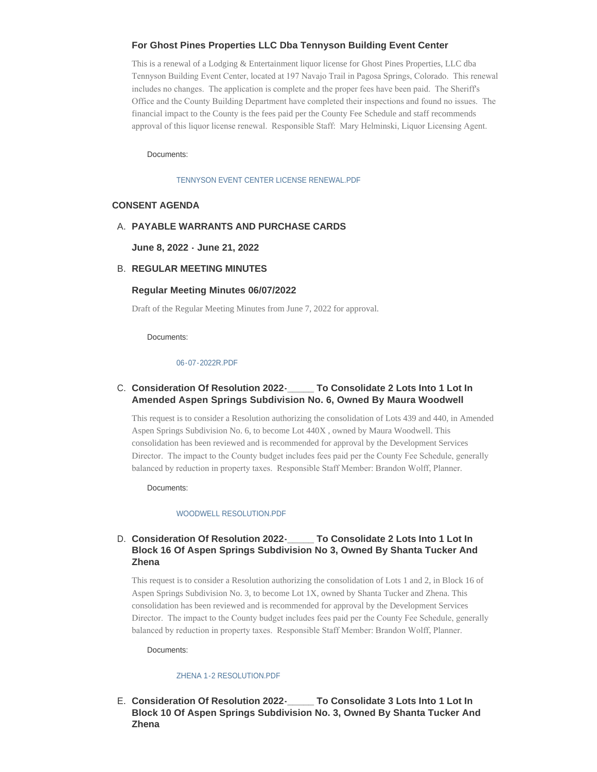## **For Ghost Pines Properties LLC Dba Tennyson Building Event Center**

This is a renewal of a Lodging & Entertainment liquor license for Ghost Pines Properties, LLC dba Tennyson Building Event Center, located at 197 Navajo Trail in Pagosa Springs, Colorado. This renewal includes no changes. The application is complete and the proper fees have been paid. The Sheriff's Office and the County Building Department have completed their inspections and found no issues. The financial impact to the County is the fees paid per the County Fee Schedule and staff recommends approval of this liquor license renewal. Responsible Staff: Mary Helminski, Liquor Licensing Agent.

Documents:

#### [TENNYSON EVENT CENTER LICENSE RENEWAL.PDF](http://www.archuletacounty.org/AgendaCenter/ViewFile/Item/10667?fileID=8330)

## **CONSENT AGENDA**

## **PAYABLE WARRANTS AND PURCHASE CARDS** A.

**June 8, 2022 - June 21, 2022**

## **REGULAR MEETING MINUTES** B.

## **Regular Meeting Minutes 06/07/2022**

Draft of the Regular Meeting Minutes from June 7, 2022 for approval.

Documents:

## [06-07-2022R.PDF](http://www.archuletacounty.org/AgendaCenter/ViewFile/Item/10652?fileID=8313)

# **Consideration Of Resolution 2022-\_\_\_\_\_ To Consolidate 2 Lots Into 1 Lot In**  C. **Amended Aspen Springs Subdivision No. 6, Owned By Maura Woodwell**

This request is to consider a Resolution authorizing the consolidation of Lots 439 and 440, in Amended Aspen Springs Subdivision No. 6, to become Lot 440X , owned by Maura Woodwell. This consolidation has been reviewed and is recommended for approval by the Development Services Director. The impact to the County budget includes fees paid per the County Fee Schedule, generally balanced by reduction in property taxes. Responsible Staff Member: Brandon Wolff, Planner.

Documents:

## [WOODWELL RESOLUTION.PDF](http://www.archuletacounty.org/AgendaCenter/ViewFile/Item/10673?fileID=8337)

#### **Consolidate 2 Lots Into 1 Lot In Block 16 Of Aspen Springs Subdivision No 3, Owned By Shanta Tucker And Zhena** D. Consideration Of Resolution 2022-

This request is to consider a Resolution authorizing the consolidation of Lots 1 and 2, in Block 16 of Aspen Springs Subdivision No. 3, to become Lot 1X, owned by Shanta Tucker and Zhena. This consolidation has been reviewed and is recommended for approval by the Development Services Director. The impact to the County budget includes fees paid per the County Fee Schedule, generally balanced by reduction in property taxes. Responsible Staff Member: Brandon Wolff, Planner.

Documents:

## [ZHENA 1-2 RESOLUTION.PDF](http://www.archuletacounty.org/AgendaCenter/ViewFile/Item/10665?fileID=8328)

**Consideration Of Resolution 2022-\_\_\_\_\_ To Consolidate 3 Lots Into 1 Lot In**  E. **Block 10 Of Aspen Springs Subdivision No. 3, Owned By Shanta Tucker And Zhena**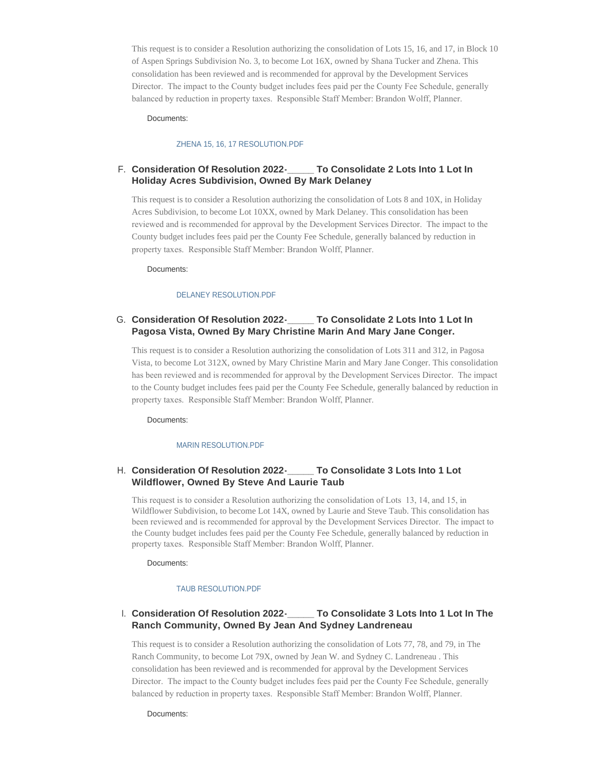This request is to consider a Resolution authorizing the consolidation of Lots 15, 16, and 17, in Block 10 of Aspen Springs Subdivision No. 3, to become Lot 16X, owned by Shana Tucker and Zhena. This consolidation has been reviewed and is recommended for approval by the Development Services Director. The impact to the County budget includes fees paid per the County Fee Schedule, generally balanced by reduction in property taxes. Responsible Staff Member: Brandon Wolff, Planner.

## Documents:

## [ZHENA 15, 16, 17 RESOLUTION.PDF](http://www.archuletacounty.org/AgendaCenter/ViewFile/Item/10671?fileID=8335)

# **Consideration Of Resolution 2022-\_\_\_\_\_ To Consolidate 2 Lots Into 1 Lot In**  F. **Holiday Acres Subdivision, Owned By Mark Delaney**

This request is to consider a Resolution authorizing the consolidation of Lots 8 and 10X, in Holiday Acres Subdivision, to become Lot 10XX, owned by Mark Delaney. This consolidation has been reviewed and is recommended for approval by the Development Services Director. The impact to the County budget includes fees paid per the County Fee Schedule, generally balanced by reduction in property taxes. Responsible Staff Member: Brandon Wolff, Planner.

Documents:

#### [DELANEY RESOLUTION.PDF](http://www.archuletacounty.org/AgendaCenter/ViewFile/Item/10675?fileID=8339)

## **Consideration Of Resolution 2022-\_\_\_\_\_ To Consolidate 2 Lots Into 1 Lot In**  G. **Pagosa Vista, Owned By Mary Christine Marin And Mary Jane Conger.**

This request is to consider a Resolution authorizing the consolidation of Lots 311 and 312, in Pagosa Vista, to become Lot 312X, owned by Mary Christine Marin and Mary Jane Conger. This consolidation has been reviewed and is recommended for approval by the Development Services Director. The impact to the County budget includes fees paid per the County Fee Schedule, generally balanced by reduction in property taxes. Responsible Staff Member: Brandon Wolff, Planner.

Documents:

#### [MARIN RESOLUTION.PDF](http://www.archuletacounty.org/AgendaCenter/ViewFile/Item/10676?fileID=8340)

# **Consideration Of Resolution 2022-\_\_\_\_\_ To Consolidate 3 Lots Into 1 Lot**  H. **Wildflower, Owned By Steve And Laurie Taub**

This request is to consider a Resolution authorizing the consolidation of Lots 13, 14, and 15, in Wildflower Subdivision, to become Lot 14X, owned by Laurie and Steve Taub. This consolidation has been reviewed and is recommended for approval by the Development Services Director. The impact to the County budget includes fees paid per the County Fee Schedule, generally balanced by reduction in property taxes. Responsible Staff Member: Brandon Wolff, Planner.

Documents:

#### [TAUB RESOLUTION.PDF](http://www.archuletacounty.org/AgendaCenter/ViewFile/Item/10674?fileID=8341)

#### **To Consolidate 3 Lots Into 1 Lot In The Ranch Community, Owned By Jean And Sydney Landreneau** I. Consideration Of Resolution 2022-

This request is to consider a Resolution authorizing the consolidation of Lots 77, 78, and 79, in The Ranch Community, to become Lot 79X, owned by Jean W. and Sydney C. Landreneau . This consolidation has been reviewed and is recommended for approval by the Development Services Director. The impact to the County budget includes fees paid per the County Fee Schedule, generally balanced by reduction in property taxes. Responsible Staff Member: Brandon Wolff, Planner.

Documents: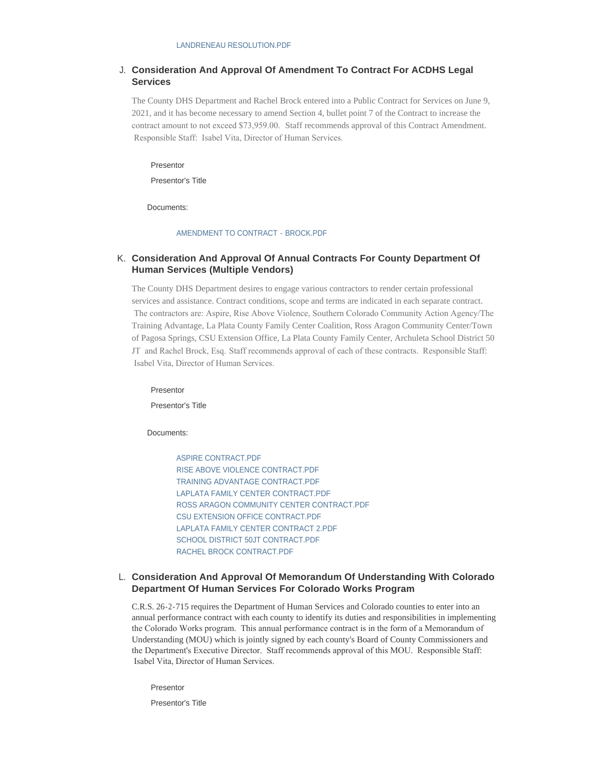# **Consideration And Approval Of Amendment To Contract For ACDHS Legal**  J. **Services**

The County DHS Department and Rachel Brock entered into a Public Contract for Services on June 9, 2021, and it has become necessary to amend Section 4, bullet point 7 of the Contract to increase the contract amount to not exceed \$73,959.00. Staff recommends approval of this Contract Amendment. Responsible Staff: Isabel Vita, Director of Human Services.

Presentor

Presentor's Title

Documents:

#### [AMENDMENT TO CONTRACT - BROCK.PDF](http://www.archuletacounty.org/AgendaCenter/ViewFile/Item/10664?fileID=8318)

## **Consideration And Approval Of Annual Contracts For County Department Of**  K. **Human Services (Multiple Vendors)**

The County DHS Department desires to engage various contractors to render certain professional services and assistance. Contract conditions, scope and terms are indicated in each separate contract. The contractors are: Aspire, Rise Above Violence, Southern Colorado Community Action Agency/The Training Advantage, La Plata County Family Center Coalition, Ross Aragon Community Center/Town of Pagosa Springs, CSU Extension Office, La Plata County Family Center, Archuleta School District 50 JT and Rachel Brock, Esq. Staff recommends approval of each of these contracts. Responsible Staff: Isabel Vita, Director of Human Services.

Presentor

Presentor's Title

Documents:

[ASPIRE CONTRACT.PDF](http://www.archuletacounty.org/AgendaCenter/ViewFile/Item/10663?fileID=8319) [RISE ABOVE VIOLENCE CONTRACT.PDF](http://www.archuletacounty.org/AgendaCenter/ViewFile/Item/10663?fileID=8320) [TRAINING ADVANTAGE CONTRACT.PDF](http://www.archuletacounty.org/AgendaCenter/ViewFile/Item/10663?fileID=8321) [LAPLATA FAMILY CENTER CONTRACT.PDF](http://www.archuletacounty.org/AgendaCenter/ViewFile/Item/10663?fileID=8322) [ROSS ARAGON COMMUNITY CENTER CONTRACT.PDF](http://www.archuletacounty.org/AgendaCenter/ViewFile/Item/10663?fileID=8323) [CSU EXTENSION OFFICE CONTRACT.PDF](http://www.archuletacounty.org/AgendaCenter/ViewFile/Item/10663?fileID=8324) [LAPLATA FAMILY CENTER CONTRACT 2.PDF](http://www.archuletacounty.org/AgendaCenter/ViewFile/Item/10663?fileID=8326) [SCHOOL DISTRICT 50JT CONTRACT.PDF](http://www.archuletacounty.org/AgendaCenter/ViewFile/Item/10663?fileID=8327) [RACHEL BROCK CONTRACT.PDF](http://www.archuletacounty.org/AgendaCenter/ViewFile/Item/10663?fileID=8325)

## **Consideration And Approval Of Memorandum Of Understanding With Colorado**  L. **Department Of Human Services For Colorado Works Program**

C.R.S. 26-2-715 requires the Department of Human Services and Colorado counties to enter into an annual performance contract with each county to identify its duties and responsibilities in implementing the Colorado Works program. This annual performance contract is in the form of a Memorandum of Understanding (MOU) which is jointly signed by each county's Board of County Commissioners and the Department's Executive Director. Staff recommends approval of this MOU. Responsible Staff: Isabel Vita, Director of Human Services.

Presentor

Presentor's Title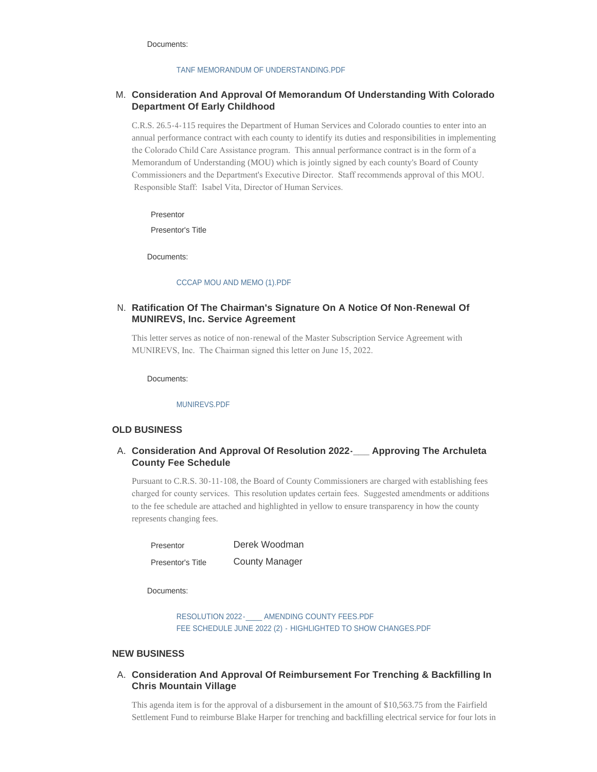Documents:

#### [TANF MEMORANDUM OF UNDERSTANDING.PDF](http://www.archuletacounty.org/AgendaCenter/ViewFile/Item/10662?fileID=8317)

# **Consideration And Approval Of Memorandum Of Understanding With Colorado**  M. **Department Of Early Childhood**

C.R.S. 26.5-4-115 requires the Department of Human Services and Colorado counties to enter into an annual performance contract with each county to identify its duties and responsibilities in implementing the Colorado Child Care Assistance program. This annual performance contract is in the form of a Memorandum of Understanding (MOU) which is jointly signed by each county's Board of County Commissioners and the Department's Executive Director. Staff recommends approval of this MOU. Responsible Staff: Isabel Vita, Director of Human Services.

Presentor

Presentor's Title

Documents:

#### [CCCAP MOU AND MEMO \(1\).PDF](http://www.archuletacounty.org/AgendaCenter/ViewFile/Item/10666?fileID=8329)

# **Ratification Of The Chairman's Signature On A Notice Of Non-Renewal Of**  N. **MUNIREVS, Inc. Service Agreement**

This letter serves as notice of non-renewal of the Master Subscription Service Agreement with MUNIREVS, Inc. The Chairman signed this letter on June 15, 2022.

Documents:

#### [MUNIREVS.PDF](http://www.archuletacounty.org/AgendaCenter/ViewFile/Item/10678?fileID=8343)

#### **OLD BUSINESS**

# **Consideration And Approval Of Resolution 2022-\_\_\_ Approving The Archuleta**  A. **County Fee Schedule**

Pursuant to C.R.S. 30-11-108, the Board of County Commissioners are charged with establishing fees charged for county services. This resolution updates certain fees. Suggested amendments or additions to the fee schedule are attached and highlighted in yellow to ensure transparency in how the county represents changing fees.

| Presentor         | Derek Woodman         |
|-------------------|-----------------------|
| Presentor's Title | <b>County Manager</b> |

Documents:

RESOLUTION 2022-<br>AMENDING COUNTY FEES.PDF [FEE SCHEDULE JUNE 2022 \(2\) - HIGHLIGHTED TO SHOW CHANGES.PDF](http://www.archuletacounty.org/AgendaCenter/ViewFile/Item/10670?fileID=8334)

## **NEW BUSINESS**

# **Consideration And Approval Of Reimbursement For Trenching & Backfilling In**  A. **Chris Mountain Village**

This agenda item is for the approval of a disbursement in the amount of \$10,563.75 from the Fairfield Settlement Fund to reimburse Blake Harper for trenching and backfilling electrical service for four lots in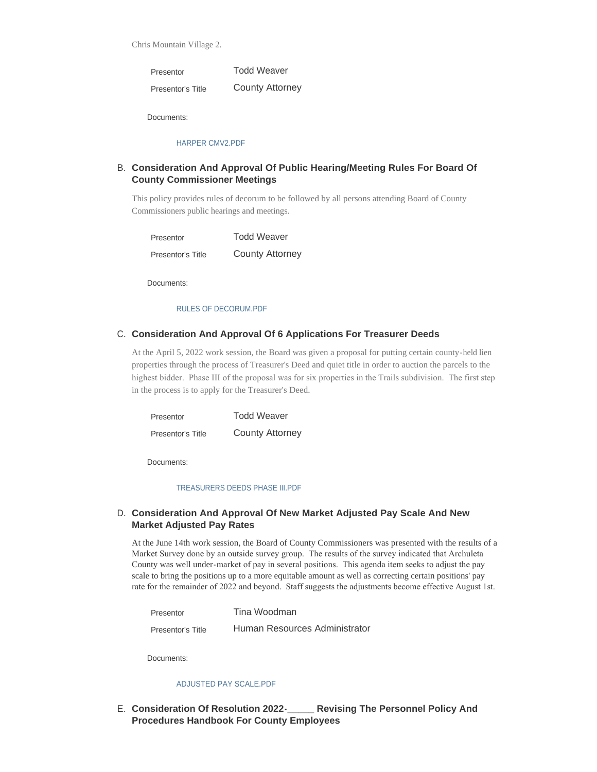Chris Mountain Village 2.

Todd Weaver County Attorney Presentor Presentor's Title

Documents:

#### [HARPER CMV2.PDF](http://www.archuletacounty.org/AgendaCenter/ViewFile/Item/10680?fileID=8344)

# **Consideration And Approval Of Public Hearing/Meeting Rules For Board Of**  B. **County Commissioner Meetings**

This policy provides rules of decorum to be followed by all persons attending Board of County Commissioners public hearings and meetings.

Todd Weaver County Attorney Presentor Presentor's Title

Documents:

#### [RULES OF DECORUM.PDF](http://www.archuletacounty.org/AgendaCenter/ViewFile/Item/10672?fileID=8336)

# C. Consideration And Approval Of 6 Applications For Treasurer Deeds

At the April 5, 2022 work session, the Board was given a proposal for putting certain county-held lien properties through the process of Treasurer's Deed and quiet title in order to auction the parcels to the highest bidder. Phase III of the proposal was for six properties in the Trails subdivision. The first step in the process is to apply for the Treasurer's Deed.

| Presentor         | <b>Todd Weaver</b>     |
|-------------------|------------------------|
| Presentor's Title | <b>County Attorney</b> |

Documents:

#### [TREASURERS DEEDS PHASE III.PDF](http://www.archuletacounty.org/AgendaCenter/ViewFile/Item/10659?fileID=8314)

# **Consideration And Approval Of New Market Adjusted Pay Scale And New**  D. **Market Adjusted Pay Rates**

At the June 14th work session, the Board of County Commissioners was presented with the results of a Market Survey done by an outside survey group. The results of the survey indicated that Archuleta County was well under-market of pay in several positions. This agenda item seeks to adjust the pay scale to bring the positions up to a more equitable amount as well as correcting certain positions' pay rate for the remainder of 2022 and beyond. Staff suggests the adjustments become effective August 1st.

| Presentor         | Tina Woodman                  |
|-------------------|-------------------------------|
| Presentor's Title | Human Resources Administrator |

Documents:

#### [ADJUSTED PAY SCALE.PDF](http://www.archuletacounty.org/AgendaCenter/ViewFile/Item/10681?fileID=8347)

**Revising The Personnel Policy And Procedures Handbook For County Employees** E. Consideration Of Resolution 2022